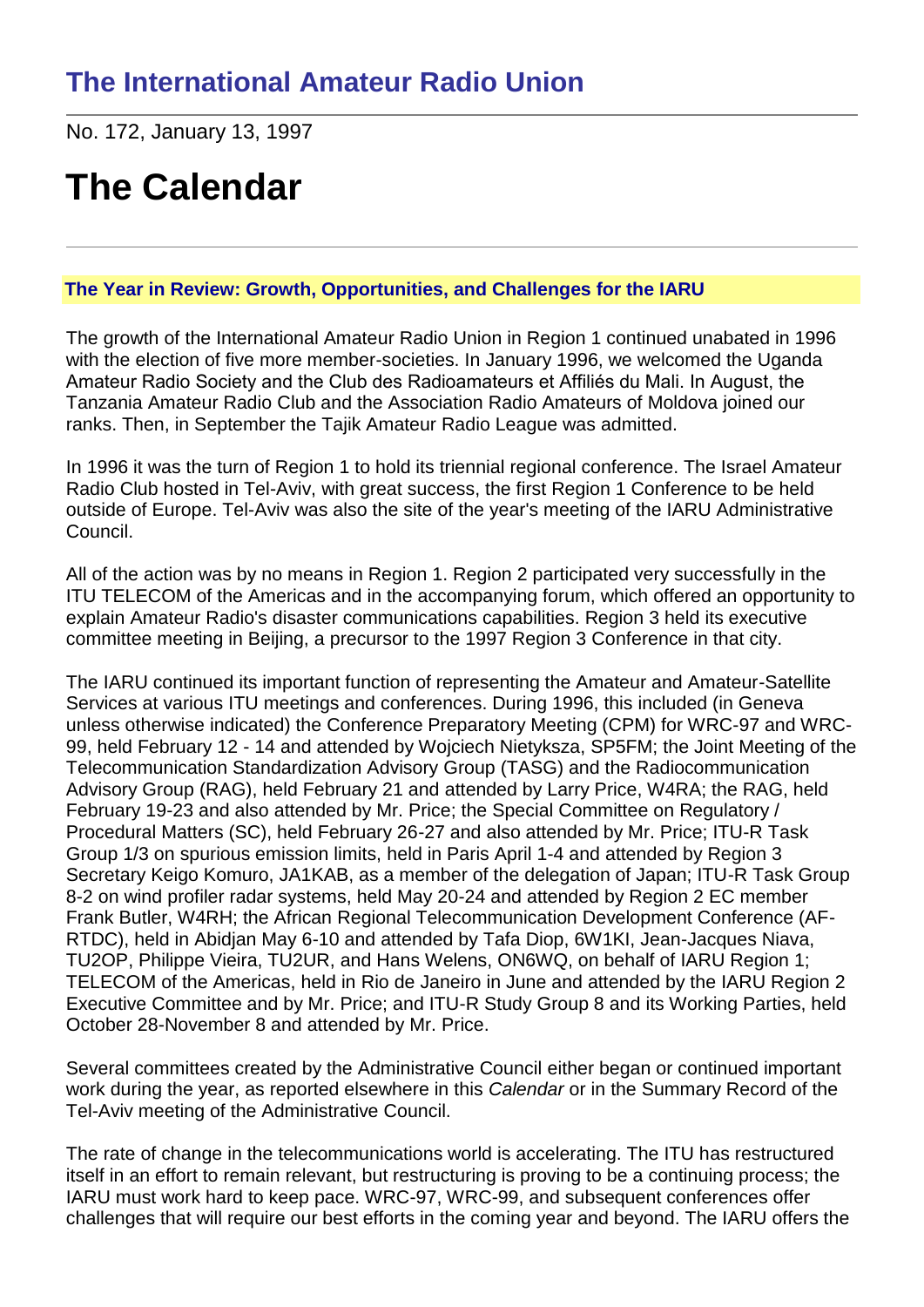No. 172, January 13, 1997

# **The Calendar**

# **The Year in Review: Growth, Opportunities, and Challenges for the IARU**

The growth of the International Amateur Radio Union in Region 1 continued unabated in 1996 with the election of five more member-societies. In January 1996, we welcomed the Uganda Amateur Radio Society and the Club des Radioamateurs et Affiliés du Mali. In August, the Tanzania Amateur Radio Club and the Association Radio Amateurs of Moldova joined our ranks. Then, in September the Tajik Amateur Radio League was admitted.

In 1996 it was the turn of Region 1 to hold its triennial regional conference. The Israel Amateur Radio Club hosted in Tel-Aviv, with great success, the first Region 1 Conference to be held outside of Europe. Tel-Aviv was also the site of the year's meeting of the IARU Administrative Council.

All of the action was by no means in Region 1. Region 2 participated very successfully in the ITU TELECOM of the Americas and in the accompanying forum, which offered an opportunity to explain Amateur Radio's disaster communications capabilities. Region 3 held its executive committee meeting in Beijing, a precursor to the 1997 Region 3 Conference in that city.

The IARU continued its important function of representing the Amateur and Amateur-Satellite Services at various ITU meetings and conferences. During 1996, this included (in Geneva unless otherwise indicated) the Conference Preparatory Meeting (CPM) for WRC-97 and WRC-99, held February 12 - 14 and attended by Wojciech Nietyksza, SP5FM; the Joint Meeting of the Telecommunication Standardization Advisory Group (TASG) and the Radiocommunication Advisory Group (RAG), held February 21 and attended by Larry Price, W4RA; the RAG, held February 19-23 and also attended by Mr. Price; the Special Committee on Regulatory / Procedural Matters (SC), held February 26-27 and also attended by Mr. Price; ITU-R Task Group 1/3 on spurious emission limits, held in Paris April 1-4 and attended by Region 3 Secretary Keigo Komuro, JA1KAB, as a member of the delegation of Japan; ITU-R Task Group 8-2 on wind profiler radar systems, held May 20-24 and attended by Region 2 EC member Frank Butler, W4RH; the African Regional Telecommunication Development Conference (AF-RTDC), held in Abidjan May 6-10 and attended by Tafa Diop, 6W1KI, Jean-Jacques Niava, TU2OP, Philippe Vieira, TU2UR, and Hans Welens, ON6WQ, on behalf of IARU Region 1; TELECOM of the Americas, held in Rio de Janeiro in June and attended by the IARU Region 2 Executive Committee and by Mr. Price; and ITU-R Study Group 8 and its Working Parties, held October 28-November 8 and attended by Mr. Price.

Several committees created by the Administrative Council either began or continued important work during the year, as reported elsewhere in this *Calendar* or in the Summary Record of the Tel-Aviv meeting of the Administrative Council.

The rate of change in the telecommunications world is accelerating. The ITU has restructured itself in an effort to remain relevant, but restructuring is proving to be a continuing process; the IARU must work hard to keep pace. WRC-97, WRC-99, and subsequent conferences offer challenges that will require our best efforts in the coming year and beyond. The IARU offers the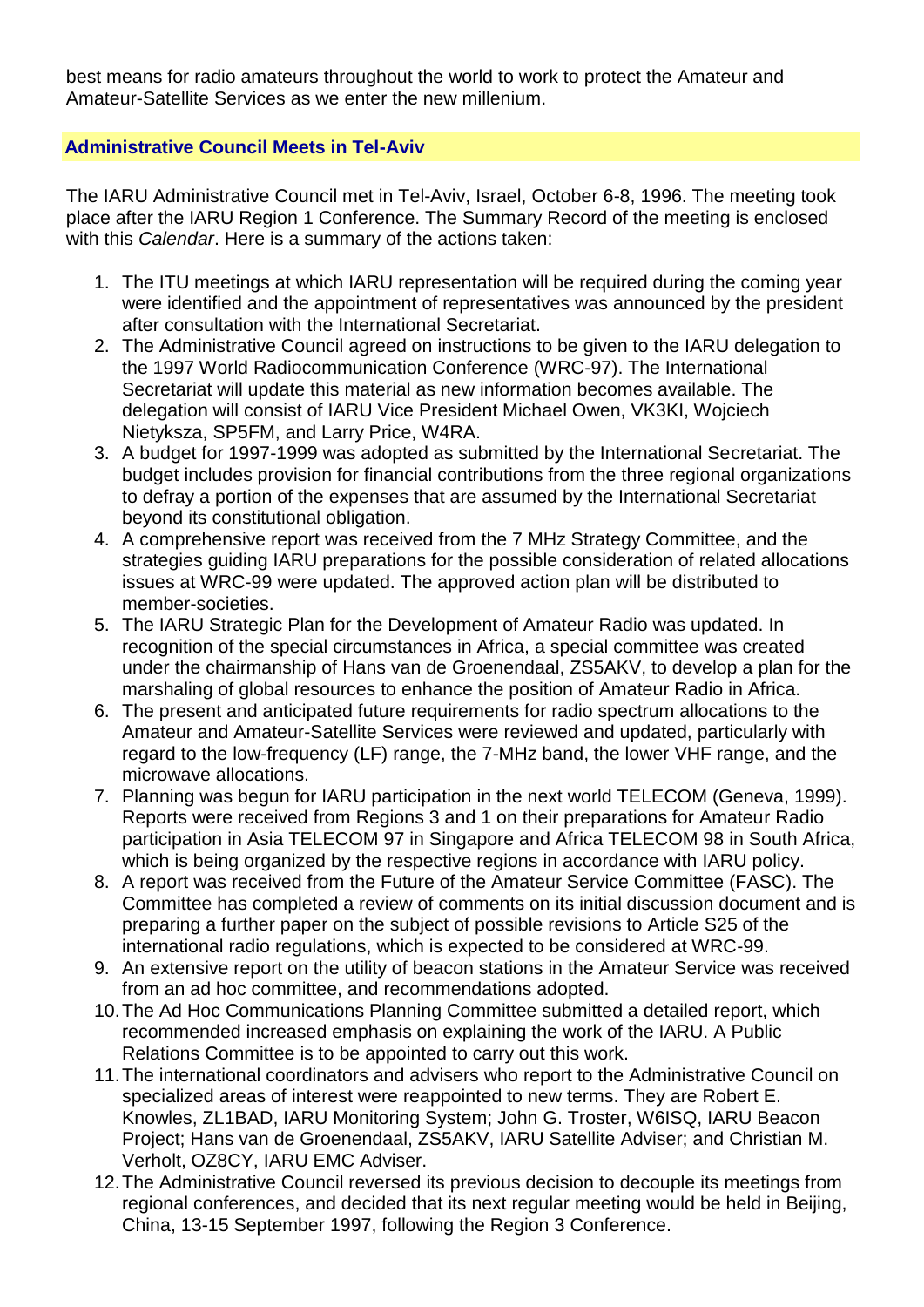best means for radio amateurs throughout the world to work to protect the Amateur and Amateur-Satellite Services as we enter the new millenium.

## **Administrative Council Meets in Tel-Aviv**

The IARU Administrative Council met in Tel-Aviv, Israel, October 6-8, 1996. The meeting took place after the IARU Region 1 Conference. The Summary Record of the meeting is enclosed with this *Calendar*. Here is a summary of the actions taken:

- 1. The ITU meetings at which IARU representation will be required during the coming year were identified and the appointment of representatives was announced by the president after consultation with the International Secretariat.
- 2. The Administrative Council agreed on instructions to be given to the IARU delegation to the 1997 World Radiocommunication Conference (WRC-97). The International Secretariat will update this material as new information becomes available. The delegation will consist of IARU Vice President Michael Owen, VK3KI, Wojciech Nietyksza, SP5FM, and Larry Price, W4RA.
- 3. A budget for 1997-1999 was adopted as submitted by the International Secretariat. The budget includes provision for financial contributions from the three regional organizations to defray a portion of the expenses that are assumed by the International Secretariat beyond its constitutional obligation.
- 4. A comprehensive report was received from the 7 MHz Strategy Committee, and the strategies guiding IARU preparations for the possible consideration of related allocations issues at WRC-99 were updated. The approved action plan will be distributed to member-societies.
- 5. The IARU Strategic Plan for the Development of Amateur Radio was updated. In recognition of the special circumstances in Africa, a special committee was created under the chairmanship of Hans van de Groenendaal, ZS5AKV, to develop a plan for the marshaling of global resources to enhance the position of Amateur Radio in Africa.
- 6. The present and anticipated future requirements for radio spectrum allocations to the Amateur and Amateur-Satellite Services were reviewed and updated, particularly with regard to the low-frequency (LF) range, the 7-MHz band, the lower VHF range, and the microwave allocations.
- 7. Planning was begun for IARU participation in the next world TELECOM (Geneva, 1999). Reports were received from Regions 3 and 1 on their preparations for Amateur Radio participation in Asia TELECOM 97 in Singapore and Africa TELECOM 98 in South Africa, which is being organized by the respective regions in accordance with IARU policy.
- 8. A report was received from the Future of the Amateur Service Committee (FASC). The Committee has completed a review of comments on its initial discussion document and is preparing a further paper on the subject of possible revisions to Article S25 of the international radio regulations, which is expected to be considered at WRC-99.
- 9. An extensive report on the utility of beacon stations in the Amateur Service was received from an ad hoc committee, and recommendations adopted.
- 10.The Ad Hoc Communications Planning Committee submitted a detailed report, which recommended increased emphasis on explaining the work of the IARU. A Public Relations Committee is to be appointed to carry out this work.
- 11.The international coordinators and advisers who report to the Administrative Council on specialized areas of interest were reappointed to new terms. They are Robert E. Knowles, ZL1BAD, IARU Monitoring System; John G. Troster, W6ISQ, IARU Beacon Project; Hans van de Groenendaal, ZS5AKV, IARU Satellite Adviser; and Christian M. Verholt, OZ8CY, IARU EMC Adviser.
- 12.The Administrative Council reversed its previous decision to decouple its meetings from regional conferences, and decided that its next regular meeting would be held in Beijing, China, 13-15 September 1997, following the Region 3 Conference.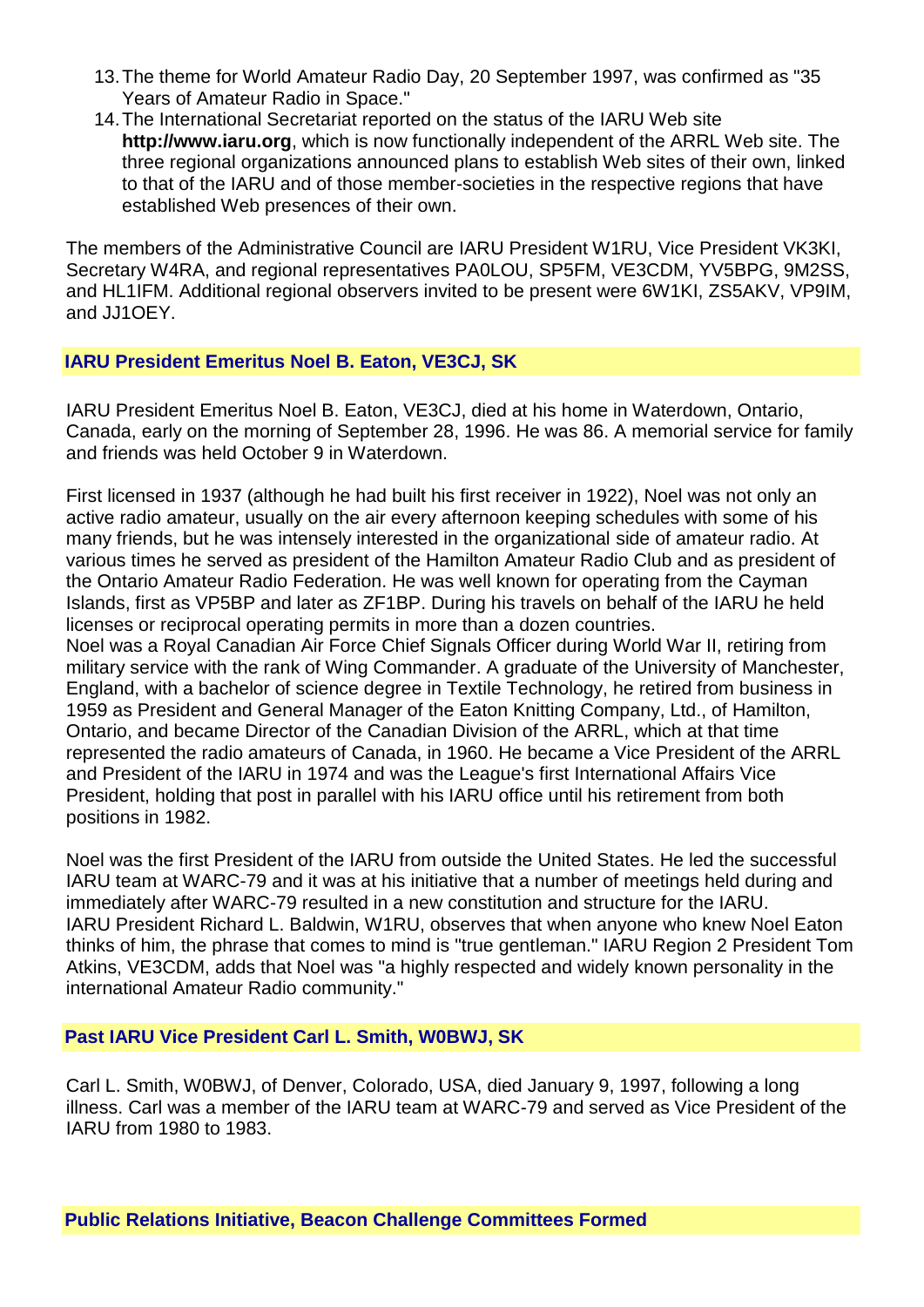- 13.The theme for World Amateur Radio Day, 20 September 1997, was confirmed as "35 Years of Amateur Radio in Space."
- 14.The International Secretariat reported on the status of the IARU Web site **http://www.iaru.org**, which is now functionally independent of the ARRL Web site. The three regional organizations announced plans to establish Web sites of their own, linked to that of the IARU and of those member-societies in the respective regions that have established Web presences of their own.

The members of the Administrative Council are IARU President W1RU, Vice President VK3KI, Secretary W4RA, and regional representatives PA0LOU, SP5FM, VE3CDM, YV5BPG, 9M2SS, and HL1IFM. Additional regional observers invited to be present were 6W1KI, ZS5AKV, VP9IM, and JJ1OEY.

#### **IARU President Emeritus Noel B. Eaton, VE3CJ, SK**

IARU President Emeritus Noel B. Eaton, VE3CJ, died at his home in Waterdown, Ontario, Canada, early on the morning of September 28, 1996. He was 86. A memorial service for family and friends was held October 9 in Waterdown.

First licensed in 1937 (although he had built his first receiver in 1922), Noel was not only an active radio amateur, usually on the air every afternoon keeping schedules with some of his many friends, but he was intensely interested in the organizational side of amateur radio. At various times he served as president of the Hamilton Amateur Radio Club and as president of the Ontario Amateur Radio Federation. He was well known for operating from the Cayman Islands, first as VP5BP and later as ZF1BP. During his travels on behalf of the IARU he held licenses or reciprocal operating permits in more than a dozen countries. Noel was a Royal Canadian Air Force Chief Signals Officer during World War II, retiring from military service with the rank of Wing Commander. A graduate of the University of Manchester, England, with a bachelor of science degree in Textile Technology, he retired from business in 1959 as President and General Manager of the Eaton Knitting Company, Ltd., of Hamilton, Ontario, and became Director of the Canadian Division of the ARRL, which at that time represented the radio amateurs of Canada, in 1960. He became a Vice President of the ARRL and President of the IARU in 1974 and was the League's first International Affairs Vice President, holding that post in parallel with his IARU office until his retirement from both positions in 1982.

Noel was the first President of the IARU from outside the United States. He led the successful IARU team at WARC-79 and it was at his initiative that a number of meetings held during and immediately after WARC-79 resulted in a new constitution and structure for the IARU. IARU President Richard L. Baldwin, W1RU, observes that when anyone who knew Noel Eaton thinks of him, the phrase that comes to mind is "true gentleman." IARU Region 2 President Tom Atkins, VE3CDM, adds that Noel was "a highly respected and widely known personality in the international Amateur Radio community."

## **Past IARU Vice President Carl L. Smith, W0BWJ, SK**

Carl L. Smith, W0BWJ, of Denver, Colorado, USA, died January 9, 1997, following a long illness. Carl was a member of the IARU team at WARC-79 and served as Vice President of the IARU from 1980 to 1983.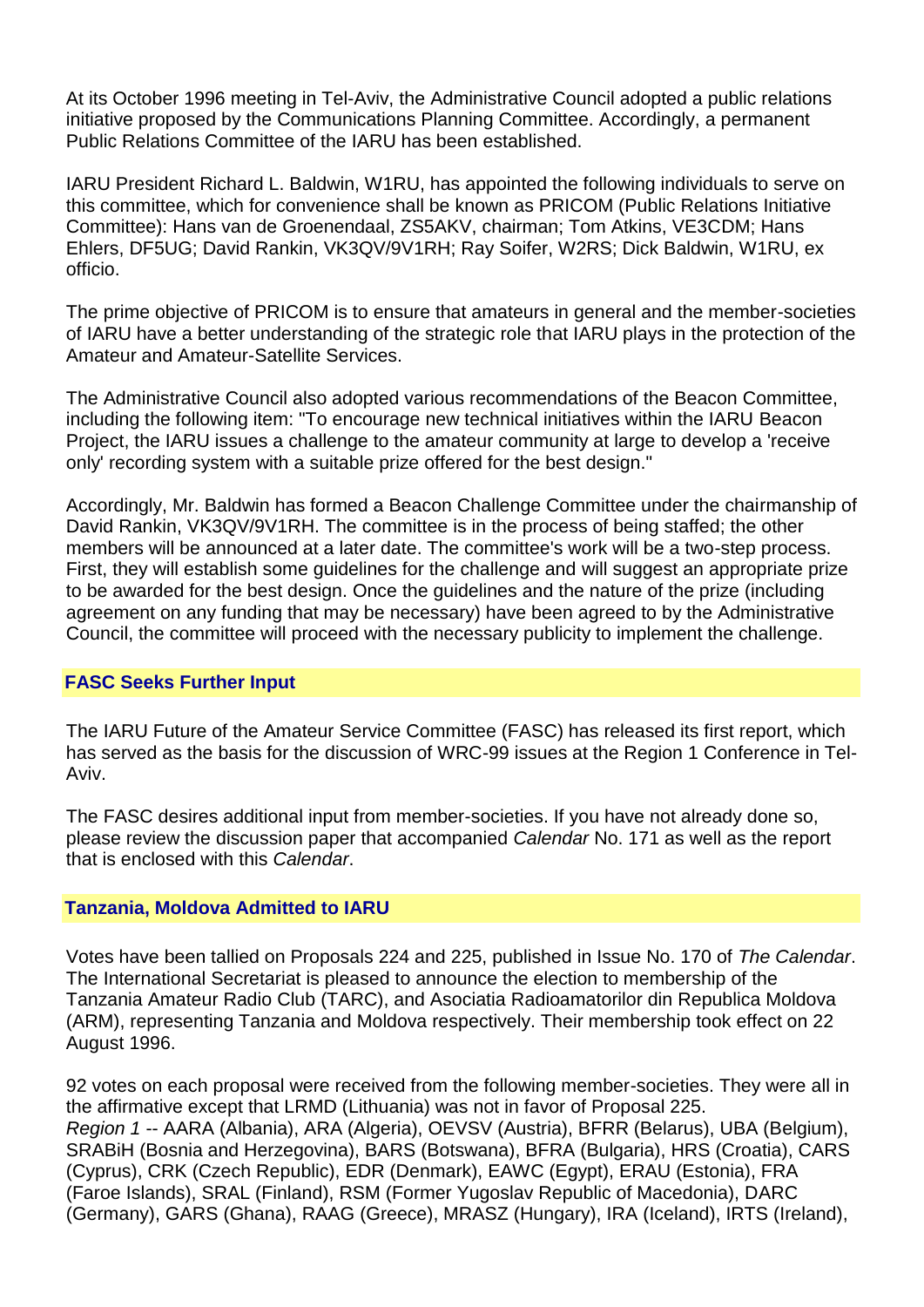At its October 1996 meeting in Tel-Aviv, the Administrative Council adopted a public relations initiative proposed by the Communications Planning Committee. Accordingly, a permanent Public Relations Committee of the IARU has been established.

IARU President Richard L. Baldwin, W1RU, has appointed the following individuals to serve on this committee, which for convenience shall be known as PRICOM (Public Relations Initiative Committee): Hans van de Groenendaal, ZS5AKV, chairman; Tom Atkins, VE3CDM; Hans Ehlers, DF5UG; David Rankin, VK3QV/9V1RH; Ray Soifer, W2RS; Dick Baldwin, W1RU, ex officio.

The prime objective of PRICOM is to ensure that amateurs in general and the member-societies of IARU have a better understanding of the strategic role that IARU plays in the protection of the Amateur and Amateur-Satellite Services.

The Administrative Council also adopted various recommendations of the Beacon Committee, including the following item: "To encourage new technical initiatives within the IARU Beacon Project, the IARU issues a challenge to the amateur community at large to develop a 'receive only' recording system with a suitable prize offered for the best design."

Accordingly, Mr. Baldwin has formed a Beacon Challenge Committee under the chairmanship of David Rankin, VK3QV/9V1RH. The committee is in the process of being staffed; the other members will be announced at a later date. The committee's work will be a two-step process. First, they will establish some guidelines for the challenge and will suggest an appropriate prize to be awarded for the best design. Once the guidelines and the nature of the prize (including agreement on any funding that may be necessary) have been agreed to by the Administrative Council, the committee will proceed with the necessary publicity to implement the challenge.

## **FASC Seeks Further Input**

The IARU Future of the Amateur Service Committee (FASC) has released its first report, which has served as the basis for the discussion of WRC-99 issues at the Region 1 Conference in Tel-Aviv.

The FASC desires additional input from member-societies. If you have not already done so, please review the discussion paper that accompanied *Calendar* No. 171 as well as the report that is enclosed with this *Calendar*.

## **Tanzania, Moldova Admitted to IARU**

Votes have been tallied on Proposals 224 and 225, published in Issue No. 170 of *The Calendar*. The International Secretariat is pleased to announce the election to membership of the Tanzania Amateur Radio Club (TARC), and Asociatia Radioamatorilor din Republica Moldova (ARM), representing Tanzania and Moldova respectively. Their membership took effect on 22 August 1996.

92 votes on each proposal were received from the following member-societies. They were all in the affirmative except that LRMD (Lithuania) was not in favor of Proposal 225. *Region 1* -- AARA (Albania), ARA (Algeria), OEVSV (Austria), BFRR (Belarus), UBA (Belgium), SRABiH (Bosnia and Herzegovina), BARS (Botswana), BFRA (Bulgaria), HRS (Croatia), CARS (Cyprus), CRK (Czech Republic), EDR (Denmark), EAWC (Egypt), ERAU (Estonia), FRA (Faroe Islands), SRAL (Finland), RSM (Former Yugoslav Republic of Macedonia), DARC (Germany), GARS (Ghana), RAAG (Greece), MRASZ (Hungary), IRA (Iceland), IRTS (Ireland),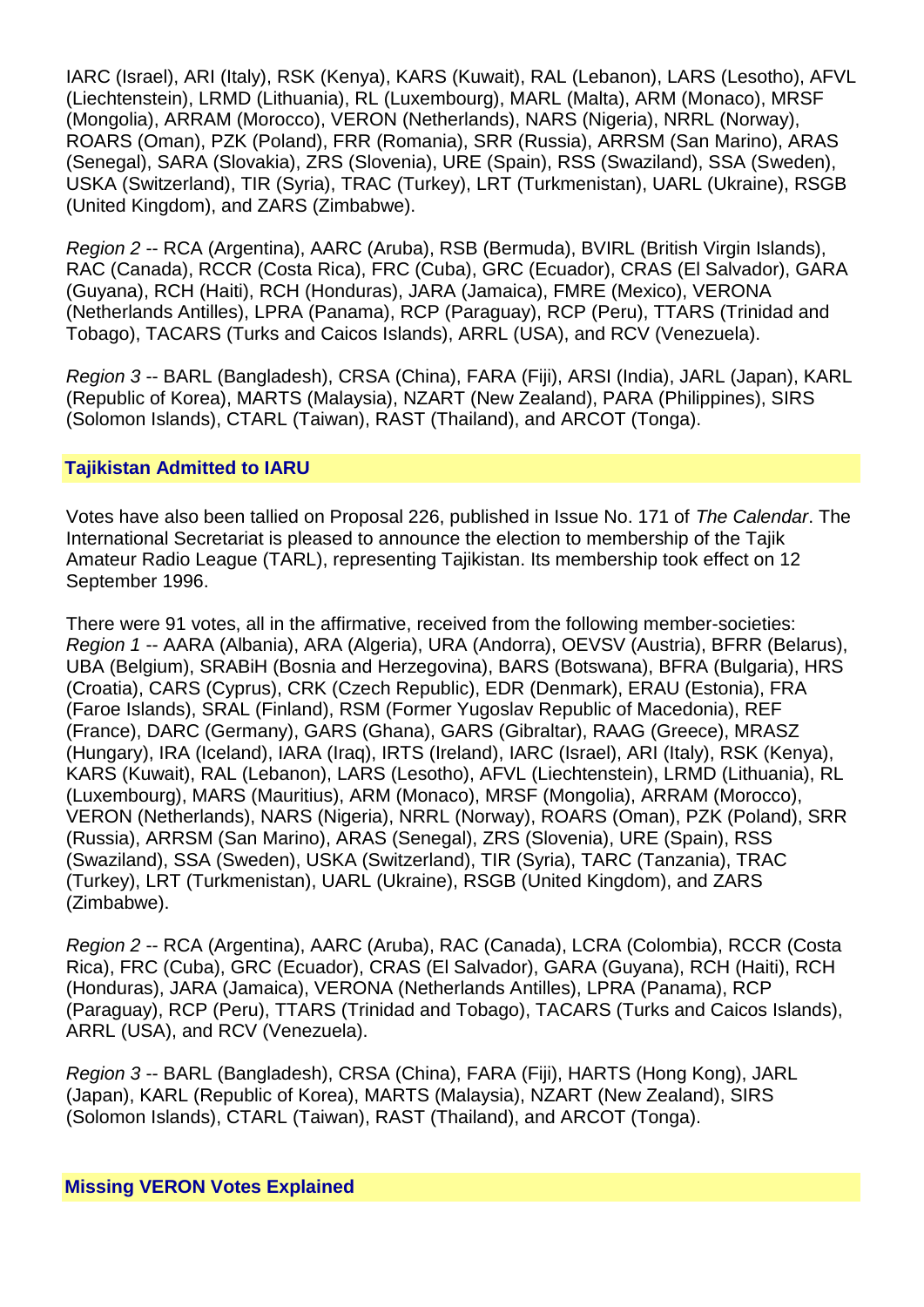IARC (Israel), ARI (Italy), RSK (Kenya), KARS (Kuwait), RAL (Lebanon), LARS (Lesotho), AFVL (Liechtenstein), LRMD (Lithuania), RL (Luxembourg), MARL (Malta), ARM (Monaco), MRSF (Mongolia), ARRAM (Morocco), VERON (Netherlands), NARS (Nigeria), NRRL (Norway), ROARS (Oman), PZK (Poland), FRR (Romania), SRR (Russia), ARRSM (San Marino), ARAS (Senegal), SARA (Slovakia), ZRS (Slovenia), URE (Spain), RSS (Swaziland), SSA (Sweden), USKA (Switzerland), TIR (Syria), TRAC (Turkey), LRT (Turkmenistan), UARL (Ukraine), RSGB (United Kingdom), and ZARS (Zimbabwe).

*Region 2* -- RCA (Argentina), AARC (Aruba), RSB (Bermuda), BVIRL (British Virgin Islands), RAC (Canada), RCCR (Costa Rica), FRC (Cuba), GRC (Ecuador), CRAS (El Salvador), GARA (Guyana), RCH (Haiti), RCH (Honduras), JARA (Jamaica), FMRE (Mexico), VERONA (Netherlands Antilles), LPRA (Panama), RCP (Paraguay), RCP (Peru), TTARS (Trinidad and Tobago), TACARS (Turks and Caicos Islands), ARRL (USA), and RCV (Venezuela).

*Region 3* -- BARL (Bangladesh), CRSA (China), FARA (Fiji), ARSI (India), JARL (Japan), KARL (Republic of Korea), MARTS (Malaysia), NZART (New Zealand), PARA (Philippines), SIRS (Solomon Islands), CTARL (Taiwan), RAST (Thailand), and ARCOT (Tonga).

## **Tajikistan Admitted to IARU**

Votes have also been tallied on Proposal 226, published in Issue No. 171 of *The Calendar*. The International Secretariat is pleased to announce the election to membership of the Tajik Amateur Radio League (TARL), representing Tajikistan. Its membership took effect on 12 September 1996.

There were 91 votes, all in the affirmative, received from the following member-societies: *Region 1* -- AARA (Albania), ARA (Algeria), URA (Andorra), OEVSV (Austria), BFRR (Belarus), UBA (Belgium), SRABiH (Bosnia and Herzegovina), BARS (Botswana), BFRA (Bulgaria), HRS (Croatia), CARS (Cyprus), CRK (Czech Republic), EDR (Denmark), ERAU (Estonia), FRA (Faroe Islands), SRAL (Finland), RSM (Former Yugoslav Republic of Macedonia), REF (France), DARC (Germany), GARS (Ghana), GARS (Gibraltar), RAAG (Greece), MRASZ (Hungary), IRA (Iceland), IARA (Iraq), IRTS (Ireland), IARC (Israel), ARI (Italy), RSK (Kenya), KARS (Kuwait), RAL (Lebanon), LARS (Lesotho), AFVL (Liechtenstein), LRMD (Lithuania), RL (Luxembourg), MARS (Mauritius), ARM (Monaco), MRSF (Mongolia), ARRAM (Morocco), VERON (Netherlands), NARS (Nigeria), NRRL (Norway), ROARS (Oman), PZK (Poland), SRR (Russia), ARRSM (San Marino), ARAS (Senegal), ZRS (Slovenia), URE (Spain), RSS (Swaziland), SSA (Sweden), USKA (Switzerland), TIR (Syria), TARC (Tanzania), TRAC (Turkey), LRT (Turkmenistan), UARL (Ukraine), RSGB (United Kingdom), and ZARS (Zimbabwe).

*Region 2* -- RCA (Argentina), AARC (Aruba), RAC (Canada), LCRA (Colombia), RCCR (Costa Rica), FRC (Cuba), GRC (Ecuador), CRAS (El Salvador), GARA (Guyana), RCH (Haiti), RCH (Honduras), JARA (Jamaica), VERONA (Netherlands Antilles), LPRA (Panama), RCP (Paraguay), RCP (Peru), TTARS (Trinidad and Tobago), TACARS (Turks and Caicos Islands), ARRL (USA), and RCV (Venezuela).

*Region 3* -- BARL (Bangladesh), CRSA (China), FARA (Fiji), HARTS (Hong Kong), JARL (Japan), KARL (Republic of Korea), MARTS (Malaysia), NZART (New Zealand), SIRS (Solomon Islands), CTARL (Taiwan), RAST (Thailand), and ARCOT (Tonga).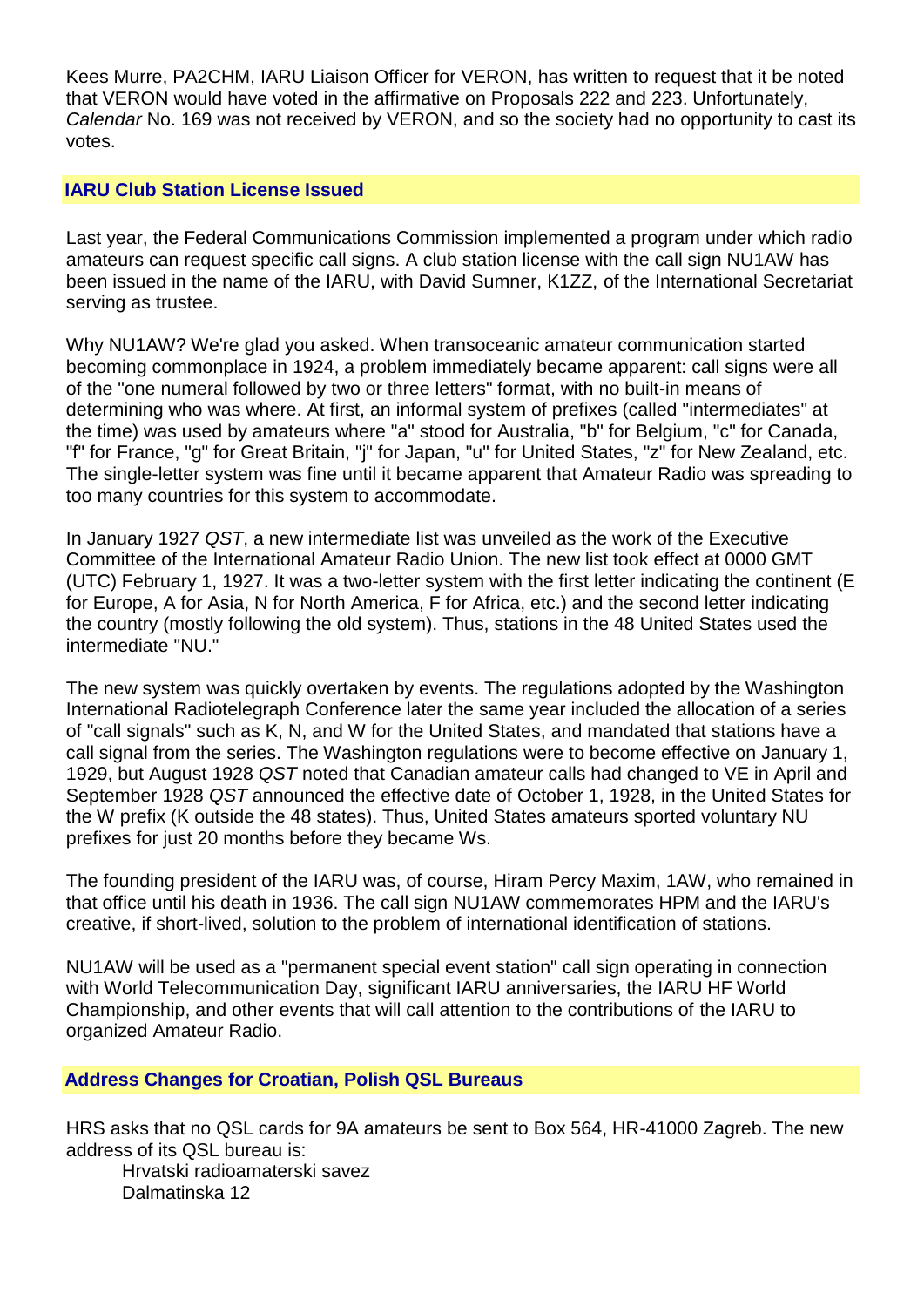Kees Murre, PA2CHM, IARU Liaison Officer for VERON, has written to request that it be noted that VERON would have voted in the affirmative on Proposals 222 and 223. Unfortunately, *Calendar* No. 169 was not received by VERON, and so the society had no opportunity to cast its votes.

## **IARU Club Station License Issued**

Last year, the Federal Communications Commission implemented a program under which radio amateurs can request specific call signs. A club station license with the call sign NU1AW has been issued in the name of the IARU, with David Sumner, K1ZZ, of the International Secretariat serving as trustee.

Why NU1AW? We're glad you asked. When transoceanic amateur communication started becoming commonplace in 1924, a problem immediately became apparent: call signs were all of the "one numeral followed by two or three letters" format, with no built-in means of determining who was where. At first, an informal system of prefixes (called "intermediates" at the time) was used by amateurs where "a" stood for Australia, "b" for Belgium, "c" for Canada, "f" for France, "g" for Great Britain, "j" for Japan, "u" for United States, "z" for New Zealand, etc. The single-letter system was fine until it became apparent that Amateur Radio was spreading to too many countries for this system to accommodate.

In January 1927 *QST*, a new intermediate list was unveiled as the work of the Executive Committee of the International Amateur Radio Union. The new list took effect at 0000 GMT (UTC) February 1, 1927. It was a two-letter system with the first letter indicating the continent (E for Europe, A for Asia, N for North America, F for Africa, etc.) and the second letter indicating the country (mostly following the old system). Thus, stations in the 48 United States used the intermediate "NU."

The new system was quickly overtaken by events. The regulations adopted by the Washington International Radiotelegraph Conference later the same year included the allocation of a series of "call signals" such as K, N, and W for the United States, and mandated that stations have a call signal from the series. The Washington regulations were to become effective on January 1, 1929, but August 1928 *QST* noted that Canadian amateur calls had changed to VE in April and September 1928 *QST* announced the effective date of October 1, 1928, in the United States for the W prefix (K outside the 48 states). Thus, United States amateurs sported voluntary NU prefixes for just 20 months before they became Ws.

The founding president of the IARU was, of course, Hiram Percy Maxim, 1AW, who remained in that office until his death in 1936. The call sign NU1AW commemorates HPM and the IARU's creative, if short-lived, solution to the problem of international identification of stations.

NU1AW will be used as a "permanent special event station" call sign operating in connection with World Telecommunication Day, significant IARU anniversaries, the IARU HF World Championship, and other events that will call attention to the contributions of the IARU to organized Amateur Radio.

## **Address Changes for Croatian, Polish QSL Bureaus**

HRS asks that no QSL cards for 9A amateurs be sent to Box 564, HR-41000 Zagreb. The new address of its QSL bureau is:

Hrvatski radioamaterski savez Dalmatinska 12